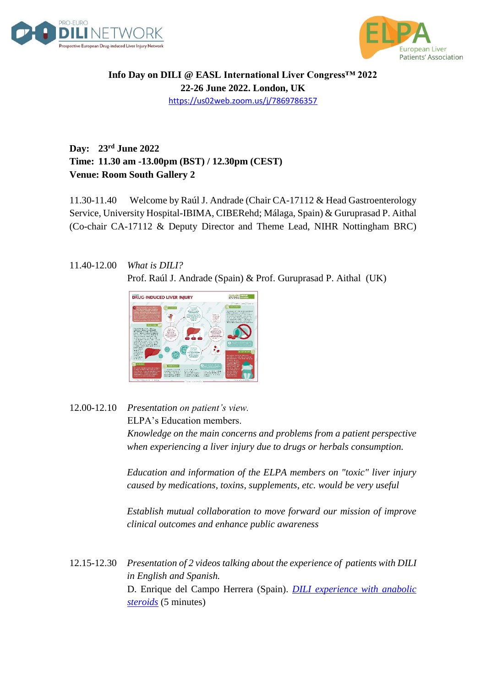



**Info Day on DILI @ EASL International Liver Congress™ 2022 22-26 June 2022. London, UK** <https://us02web.zoom.us/j/7869786357>

## **Day: 23rd June 2022 Time: 11.30 am -13.00pm (BST) / 12.30pm (CEST) Venue: Room South Gallery 2**

11.30-11.40 Welcome by Raúl J. Andrade (Chair CA-17112 & Head Gastroenterology Service, University Hospital-IBIMA, CIBERehd; Málaga, Spain) & Guruprasad P. Aithal (Co-chair CA-17112 & Deputy Director and Theme Lead, NIHR Nottingham BRC)

## 11.40-12.00 *What is DILI?* Prof. Raúl J. Andrade (Spain) & Prof. Guruprasad P. Aithal (UK)



## 12.00-12.10 *Presentation on patient's view.* ELPA's Education members. *Knowledge on the main concerns and problems from a patient perspective when experiencing a liver injury due to drugs or herbals consumption.*

*Education and information of the ELPA members on "toxic" liver injury caused by medications, toxins, supplements, etc. would be very useful*

*Establish mutual collaboration to move forward our mission of improve clinical outcomes and enhance public awareness*

12.15-12.30 *Presentation of 2 videos talking about the experience of patients with DILI in English and Spanish.* D. Enrique del Campo Herrera (Spain). *[DILI experience with anabolic](https://youtu.be/kPBHg5r6bdc)  [steroids](https://youtu.be/kPBHg5r6bdc)* (5 minutes)